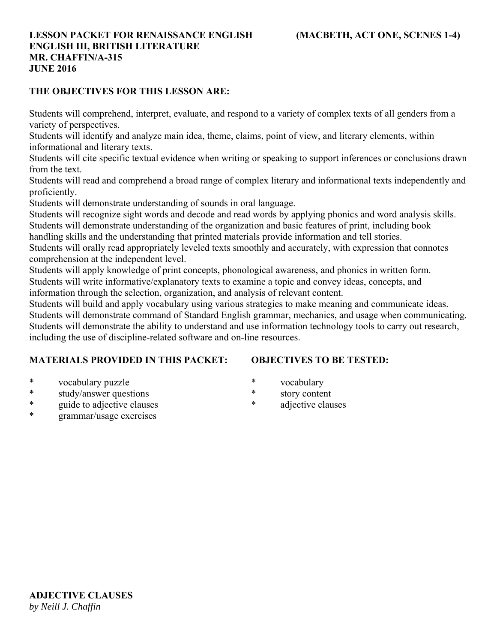### **THE OBJECTIVES FOR THIS LESSON ARE:**

Students will comprehend, interpret, evaluate, and respond to a variety of complex texts of all genders from a variety of perspectives.

Students will identify and analyze main idea, theme, claims, point of view, and literary elements, within informational and literary texts.

Students will cite specific textual evidence when writing or speaking to support inferences or conclusions drawn from the text.

Students will read and comprehend a broad range of complex literary and informational texts independently and proficiently.

Students will demonstrate understanding of sounds in oral language.

Students will recognize sight words and decode and read words by applying phonics and word analysis skills. Students will demonstrate understanding of the organization and basic features of print, including book

handling skills and the understanding that printed materials provide information and tell stories.

Students will orally read appropriately leveled texts smoothly and accurately, with expression that connotes comprehension at the independent level.

Students will apply knowledge of print concepts, phonological awareness, and phonics in written form. Students will write informative/explanatory texts to examine a topic and convey ideas, concepts, and

information through the selection, organization, and analysis of relevant content.

Students will build and apply vocabulary using various strategies to make meaning and communicate ideas. Students will demonstrate command of Standard English grammar, mechanics, and usage when communicating. Students will demonstrate the ability to understand and use information technology tools to carry out research, including the use of discipline-related software and on-line resources.

# **MATERIALS PROVIDED IN THIS PACKET:**

# **OBJECTIVES TO BE TESTED:**

- \* vocabulary puzzle
- \* study/answer questions
- \* guide to adjective clauses
- grammar/usage exercises
- \* vocabulary
- \* story content
- \* adjective clauses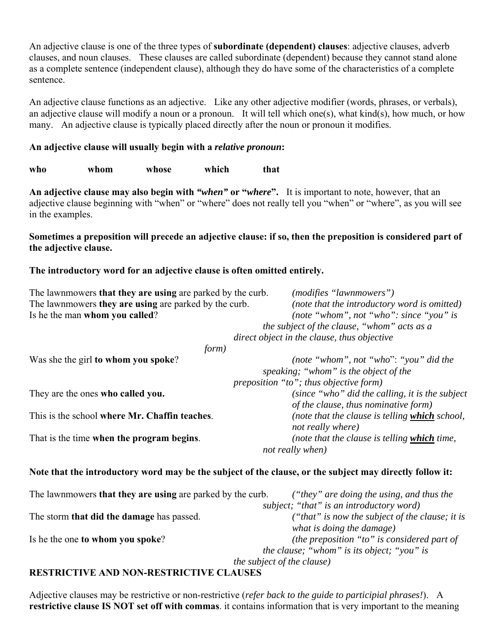An adjective clause is one of the three types of **subordinate (dependent) clauses**: adjective clauses, adverb clauses, and noun clauses. These clauses are called subordinate (dependent) because they cannot stand alone as a complete sentence (independent clause), although they do have some of the characteristics of a complete sentence.

An adjective clause functions as an adjective. Like any other adjective modifier (words, phrases, or verbals), an adjective clause will modify a noun or a pronoun. It will tell which one(s), what kind(s), how much, or how many. An adjective clause is typically placed directly after the noun or pronoun it modifies.

# **An adjective clause will usually begin with a** *relative pronoun***:**

**who whom whose which that**

**An adjective clause may also begin with** *"when"* **or "***where***".** It is important to note, however, that an adjective clause beginning with "when" or "where" does not really tell you "when" or "where", as you will see in the examples.

### **Sometimes a preposition will precede an adjective clause: if so, then the preposition is considered part of the adjective clause.**

### **The introductory word for an adjective clause is often omitted entirely.**

| The lawnmowers that they are using are parked by the curb. | ( <i>modifies</i> " <i>lawnmowers</i> ")                                                                 |  |
|------------------------------------------------------------|----------------------------------------------------------------------------------------------------------|--|
| The lawnmowers they are using are parked by the curb.      | (note that the introductory word is omitted)                                                             |  |
| Is he the man whom you called?                             | (note "whom", not "who": since "you" is                                                                  |  |
|                                                            | the subject of the clause, "whom" acts as a                                                              |  |
|                                                            | direct object in the clause, thus objective                                                              |  |
| form)                                                      |                                                                                                          |  |
| Was she the girl to whom you spoke?                        | (note "whom", not "who": "you" did the                                                                   |  |
|                                                            | speaking; "whom" is the object of the                                                                    |  |
|                                                            | preposition "to"; thus objective form)                                                                   |  |
| They are the ones who called you.                          | (since "who" did the calling, it is the subject                                                          |  |
|                                                            | of the clause, thus nominative form)                                                                     |  |
| This is the school where Mr. Chaffin teaches.              | (note that the clause is telling which school,                                                           |  |
|                                                            | not really where)                                                                                        |  |
| That is the time when the program begins.                  | (note that the clause is telling which time,                                                             |  |
|                                                            | not really when)                                                                                         |  |
|                                                            |                                                                                                          |  |
|                                                            | Note that the introductory word may be the subject of the clause, or the subject may directly follow it: |  |
| The lawnmowers that they are using are parked by the curb. | ("they" are doing the using, and thus the                                                                |  |
|                                                            | subject; "that" is an introductory word)                                                                 |  |
| The storm that did the damage has passed.                  | ("that" is now the subject of the clause; it is                                                          |  |
|                                                            | what is doing the damage)                                                                                |  |
| Is he the one to whom you spoke?                           | (the preposition "to" is considered part of                                                              |  |
|                                                            | <i>the clause;</i> "whom" is its object; "you" is                                                        |  |
|                                                            | the subject of the clause)                                                                               |  |
|                                                            |                                                                                                          |  |

#### **RESTRICTIVE AND NON-RESTRICTIVE CLAUSES**

Adjective clauses may be restrictive or non-restrictive (*refer back to the guide to participial phrases!*). A **restrictive clause IS NOT set off with commas**. it contains information that is very important to the meaning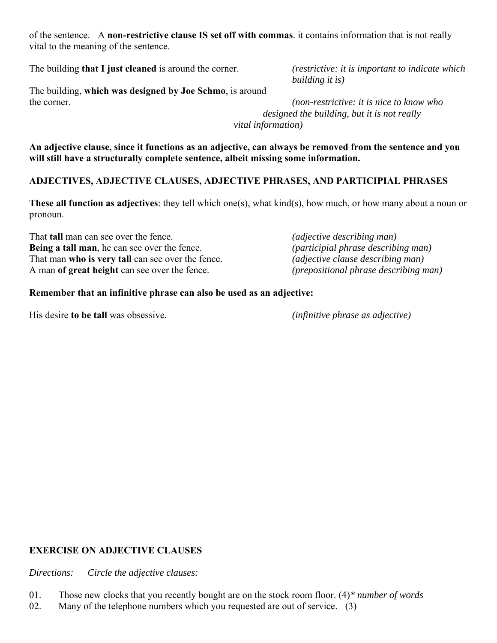of the sentence. A **non-restrictive clause IS set off with commas**. it contains information that is not really vital to the meaning of the sentence.

The building **that I just cleaned** is around the corner. *(restrictive: it is important to indicate which* 

 *building it is)*

The building, **which was designed by Joe Schmo**, is around the corner. *(non-restrictive: it is nice to know who* 

 *designed the building, but it is not really vital information)*

**An adjective clause, since it functions as an adjective, can always be removed from the sentence and you will still have a structurally complete sentence, albeit missing some information.**

# **ADJECTIVES, ADJECTIVE CLAUSES, ADJECTIVE PHRASES, AND PARTICIPIAL PHRASES**

**These all function as adjectives**: they tell which one(s), what kind(s), how much, or how many about a noun or pronoun.

That **tall** man can see over the fence. *(adjective describing man)* **Being a tall man**, he can see over the fence. *(participial phrase describing man)* That man **who is very tall** can see over the fence. *(adjective clause describing man)* A man **of great height** can see over the fence. *(prepositional phrase describing man)*

# **Remember that an infinitive phrase can also be used as an adjective:**

His desire **to be tall** was obsessive. *(infinitive phrase as adjective)*

# **EXERCISE ON ADJECTIVE CLAUSES**

*Directions: Circle the adjective clauses:*

- 01. Those new clocks that you recently bought are on the stock room floor. (4)*\* number of words*
- 02. Many of the telephone numbers which you requested are out of service. (3)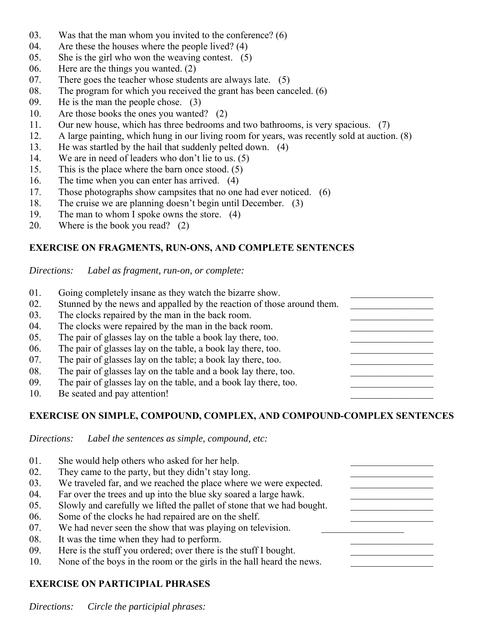- 03. Was that the man whom you invited to the conference? (6)
- 04. Are these the houses where the people lived? (4)
- 05. She is the girl who won the weaving contest. (5)
- 06. Here are the things you wanted. (2)
- 07. There goes the teacher whose students are always late. (5)
- 08. The program for which you received the grant has been canceled. (6)
- 09. He is the man the people chose. (3)
- 10. Are those books the ones you wanted? (2)
- 11. Our new house, which has three bedrooms and two bathrooms, is very spacious. (7)
- 12. A large painting, which hung in our living room for years, was recently sold at auction. (8)
- 13. He was startled by the hail that suddenly pelted down. (4)
- 14. We are in need of leaders who don't lie to us. (5)
- 15. This is the place where the barn once stood. (5)
- 16. The time when you can enter has arrived. (4)
- 17. Those photographs show campsites that no one had ever noticed. (6)
- 18. The cruise we are planning doesn't begin until December. (3)
- 19. The man to whom I spoke owns the store. (4)
- 20. Where is the book you read? (2)

# **EXERCISE ON FRAGMENTS, RUN-ONS, AND COMPLETE SENTENCES**

*Directions: Label as fragment, run-on, or complete:*

- 01. Going completely insane as they watch the bizarre show. 02. Stunned by the news and appalled by the reaction of those around them.
- 03. The clocks repaired by the man in the back room.
- 04. The clocks were repaired by the man in the back room.
- 05. The pair of glasses lay on the table a book lay there, too.
- 06. The pair of glasses lay on the table, a book lay there, too.
- 07. The pair of glasses lay on the table; a book lay there, too.
- 08. The pair of glasses lay on the table and a book lay there, too.
- 09. The pair of glasses lay on the table, and a book lay there, too.
- 10. Be seated and pay attention!

# **EXERCISE ON SIMPLE, COMPOUND, COMPLEX, AND COMPOUND-COMPLEX SENTENCES**

*Directions: Label the sentences as simple, compound, etc:*

| 01. | She would help others who asked for her help.                          |
|-----|------------------------------------------------------------------------|
| 02. | They came to the party, but they didn't stay long.                     |
| 03. | We traveled far, and we reached the place where we were expected.      |
| 04. | Far over the trees and up into the blue sky soared a large hawk.       |
| 05. | Slowly and carefully we lifted the pallet of stone that we had bought. |
| 06. | Some of the clocks he had repaired are on the shelf.                   |
| 07. | We had never seen the show that was playing on television.             |
| 08. | It was the time when they had to perform.                              |
| 09. | Here is the stuff you ordered; over there is the stuff I bought.       |
| 10. | None of the boys in the room or the girls in the hall heard the news.  |

# **EXERCISE ON PARTICIPIAL PHRASES**

*Directions: Circle the participial phrases:*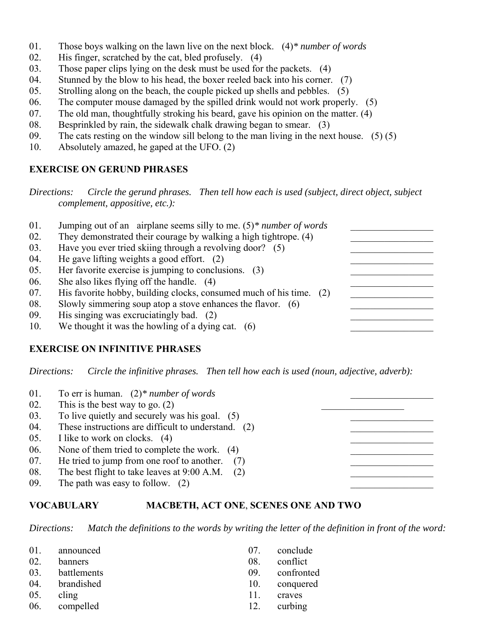- 01. Those boys walking on the lawn live on the next block. (4)*\* number of words*
- 02. His finger, scratched by the cat, bled profusely. (4)
- 03. Those paper clips lying on the desk must be used for the packets. (4)
- 04. Stunned by the blow to his head, the boxer reeled back into his corner. (7)
- 05. Strolling along on the beach, the couple picked up shells and pebbles. (5)
- 06. The computer mouse damaged by the spilled drink would not work properly. (5)
- 07. The old man, thoughtfully stroking his beard, gave his opinion on the matter. (4)
- 08. Besprinkled by rain, the sidewalk chalk drawing began to smear. (3)
- 09. The cats resting on the window sill belong to the man living in the next house.  $(5)$  (5)
- 10. Absolutely amazed, he gaped at the UFO. (2)

#### **EXERCISE ON GERUND PHRASES**

*Directions: Circle the gerund phrases. Then tell how each is used (subject, direct object, subject complement, appositive, etc.):*

| 01. | Jumping out of an airplane seems silly to me. $(5)*$ <i>number of words</i> |  |
|-----|-----------------------------------------------------------------------------|--|
| 02. | They demonstrated their courage by walking a high tightrope. (4)            |  |
| 03. | Have you ever tried skiing through a revolving door? (5)                    |  |
| 04. | He gave lifting weights a good effort. $(2)$                                |  |
| 05. | Her favorite exercise is jumping to conclusions. (3)                        |  |
| 06. | She also likes flying off the handle. (4)                                   |  |
| 07. | His favorite hobby, building clocks, consumed much of his time. (2)         |  |
| 08. | Slowly simmering soup atop a stove enhances the flavor. (6)                 |  |
| 09. | His singing was excruciatingly bad. (2)                                     |  |
| 10. | We thought it was the howling of a dying cat. $(6)$                         |  |

### **EXERCISE ON INFINITIVE PHRASES**

*Directions: Circle the infinitive phrases. Then tell how each is used (noun, adjective, adverb):*

| 01. | To err is human. $(2)*number of words$              |  |
|-----|-----------------------------------------------------|--|
| 02. | This is the best way to go. $(2)$                   |  |
| 03. | To live quietly and securely was his goal. (5)      |  |
| 04. | These instructions are difficult to understand. (2) |  |
| 05. | I like to work on clocks. (4)                       |  |
| 06. | None of them tried to complete the work. (4)        |  |
| 07. | He tried to jump from one roof to another.<br>(7)   |  |
| 08. | The best flight to take leaves at 9:00 A.M.         |  |
| 09. | The path was easy to follow. $(2)$                  |  |

#### **VOCABULARY MACBETH, ACT ONE**, **SCENES ONE AND TWO**

*Directions: Match the definitions to the words by writing the letter of the definition in front of the word:*

| 01. | announced      | 07. | conclude      |
|-----|----------------|-----|---------------|
| 02. | banners        | 08. | conflict      |
| 03. | battlements    | 09. | confronted    |
|     | 04. brandished |     | 10. conquered |
| 05. | cling          | 11. | craves        |
|     | 06. compelled  | 12. | curbing       |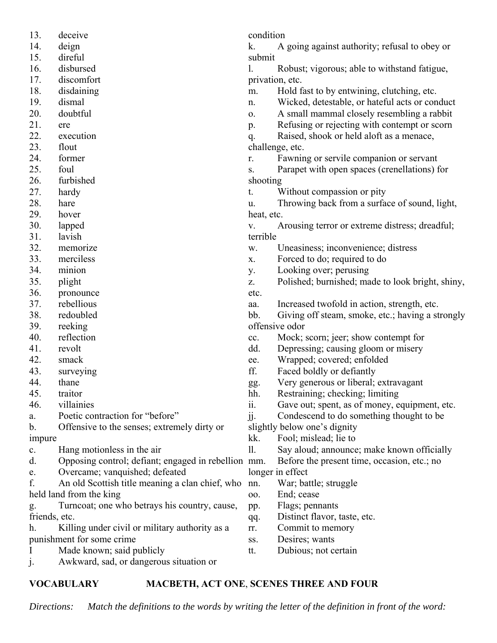| 13.                 | deceive                                             | condition       |                                                  |
|---------------------|-----------------------------------------------------|-----------------|--------------------------------------------------|
| 14.                 | deign                                               | k.              | A going against authority; refusal to obey or    |
| 15.                 | direful                                             | submit          |                                                  |
| 16.                 | disbursed                                           | 1.              | Robust; vigorous; able to withstand fatigue,     |
| 17.                 | discomfort                                          |                 |                                                  |
| 18.                 |                                                     | privation, etc. |                                                  |
|                     | disdaining                                          | m.              | Hold fast to by entwining, clutching, etc.       |
| 19.                 | dismal                                              | n.              | Wicked, detestable, or hateful acts or conduct   |
| 20.                 | doubtful                                            | 0.              | A small mammal closely resembling a rabbit       |
| 21.                 | ere                                                 | p.              | Refusing or rejecting with contempt or scorn     |
| 22.                 | execution                                           | q.              | Raised, shook or held aloft as a menace,         |
| 23.                 | flout                                               |                 | challenge, etc.                                  |
| 24.                 | former                                              | r.              | Fawning or servile companion or servant          |
| 25.                 | foul                                                | S.              | Parapet with open spaces (crenellations) for     |
| 26.                 | furbished                                           | shooting        |                                                  |
| 27.                 | hardy                                               | t.              | Without compassion or pity                       |
| 28.                 | hare                                                | u.              | Throwing back from a surface of sound, light,    |
| 29.                 | hover                                               | heat, etc.      |                                                  |
| 30.                 | lapped                                              | V.              | Arousing terror or extreme distress; dreadful;   |
| 31.                 | lavish                                              | terrible        |                                                  |
| 32.                 | memorize                                            | w.              | Uneasiness; inconvenience; distress              |
| 33.                 | merciless                                           | X.              | Forced to do; required to do                     |
| 34.                 | minion                                              | у.              | Looking over; perusing                           |
| 35.                 | plight                                              | Z.              | Polished; burnished; made to look bright, shiny, |
| 36.                 | pronounce                                           | etc.            |                                                  |
| 37.                 | rebellious                                          | aa.             | Increased twofold in action, strength, etc.      |
| 38.                 | redoubled                                           | bb.             | Giving off steam, smoke, etc.; having a strongly |
| 39.                 | reeking                                             |                 | offensive odor                                   |
| 40.                 | reflection                                          | cc.             | Mock; scorn; jeer; show contempt for             |
| 41.                 | revolt                                              | dd.             | Depressing; causing gloom or misery              |
| 42.                 | smack                                               | ee.             | Wrapped; covered; enfolded                       |
| 43.                 | surveying                                           | ff.             | Faced boldly or defiantly                        |
| 44.                 | thane                                               | gg.             | Very generous or liberal; extravagant            |
| 45.                 | traitor                                             | hh.             | Restraining; checking; limiting                  |
| 46.                 | villainies                                          | ii.             | Gave out; spent, as of money, equipment, etc.    |
| a.                  | Poetic contraction for "before"                     | jj.             | Condescend to do something thought to be         |
| b.                  | Offensive to the senses; extremely dirty or         |                 | slightly below one's dignity                     |
| impure              |                                                     | kk.             | Fool; mislead; lie to                            |
| c.                  | Hang motionless in the air                          | 11.             | Say aloud; announce; make known officially       |
| d.                  | Opposing control; defiant; engaged in rebellion mm. |                 | Before the present time, occasion, etc.; no      |
| e.                  | Overcame; vanquished; defeated                      |                 | longer in effect                                 |
| f.                  | An old Scottish title meaning a clan chief, who     | nn.             | War; battle; struggle                            |
|                     | held land from the king                             | oo.             | End; cease                                       |
|                     | Turncoat; one who betrays his country, cause,       |                 | Flags; pennants                                  |
| g.<br>friends, etc. |                                                     | pp.             | Distinct flavor, taste, etc.                     |
| h.                  | Killing under civil or military authority as a      | qq.             | Commit to memory                                 |
|                     | punishment for some crime                           | rr.             | Desires; wants                                   |
|                     |                                                     | SS.             |                                                  |
|                     | Made known; said publicly                           | tt.             | Dubious; not certain                             |
| $\mathbf{J}$        | Awkward, sad, or dangerous situation or             |                 |                                                  |

# **VOCABULARY MACBETH, ACT ONE**, **SCENES THREE AND FOUR**

*Directions: Match the definitions to the words by writing the letter of the definition in front of the word:*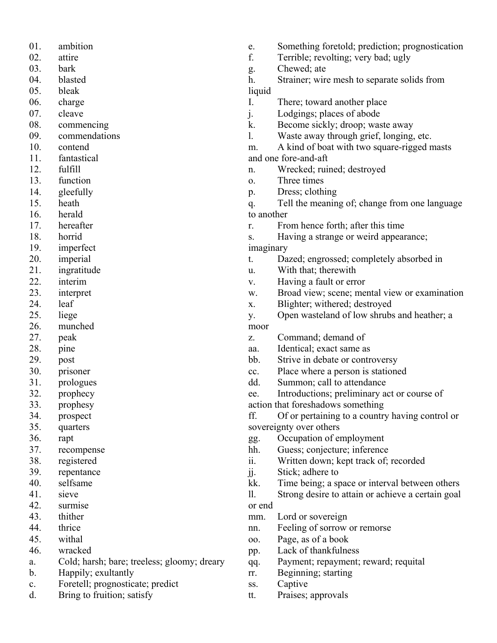- 01. ambition
- 02. attire
- 03. bark
- 04. blasted
- 05. bleak
- 06. charge
- 07. cleave
- 08. commencing
- 09. commendations
- 10. contend
- 11. fantastical
- 12. fulfill
- 13. function
- 14. gleefully
- 15. heath
- 16. herald
- 17. hereafter
- 18. horrid
- 19. imperfect
- 20. imperial
- 21. ingratitude
- 22. interim
- 23. interpret
- 24. leaf
- 25. liege
- 26. munched
- 27. peak
- 28. pine
- 29. post
- 30. prisoner
- 31. prologues
- 32. prophecy
- 33. prophesy
- 34. prospect
- 35. quarters
- 36. rapt
- 37. recompense
- 38. registered
- 39. repentance
- 40. selfsame
- 41. sieve
- 42. surmise
- 43. thither
- 44. thrice
- 45. withal
- 46. wracked
- a. Cold; harsh; bare; treeless; gloomy; dreary
- b. Happily; exultantly
- c. Foretell; prognosticate; predict
- d. Bring to fruition; satisfy
- e. Something foretold; prediction; prognostication
- f. Terrible; revolting; very bad; ugly
- g. Chewed; ate
- h. Strainer; wire mesh to separate solids from liquid
- I. There; toward another place
- j. Lodgings; places of abode
- k. Become sickly; droop; waste away
- l. Waste away through grief, longing, etc.
- m. A kind of boat with two square-rigged masts
- and one fore-and-aft
- n. Wrecked; ruined; destroyed
- o. Three times
- p. Dress; clothing
- q. Tell the meaning of; change from one language to another
- r. From hence forth; after this time
- s. Having a strange or weird appearance; imaginary
- t. Dazed; engrossed; completely absorbed in
- u. With that; therewith
- v. Having a fault or error
- w. Broad view; scene; mental view or examination
- x. Blighter; withered; destroyed
- y. Open wasteland of low shrubs and heather; a
- moor
- z. Command; demand of
- aa. Identical; exact same as
- bb. Strive in debate or controversy
- cc. Place where a person is stationed
- dd. Summon; call to attendance
- ee. Introductions; preliminary act or course of
- action that foreshadows something
- ff. Of or pertaining to a country having control or sovereignty over others
- gg. Occupation of employment
- hh. Guess; conjecture; inference
- ii. Written down; kept track of; recorded
- jj. Stick; adhere to
- kk. Time being; a space or interval between others
- ll. Strong desire to attain or achieve a certain goal or end
- mm. Lord or sovereign
- nn. Feeling of sorrow or remorse
- oo. Page, as of a book
- pp. Lack of thankfulness
- qq. Payment; repayment; reward; requital
- rr. Beginning; starting
- ss. Captive
- tt. Praises; approvals